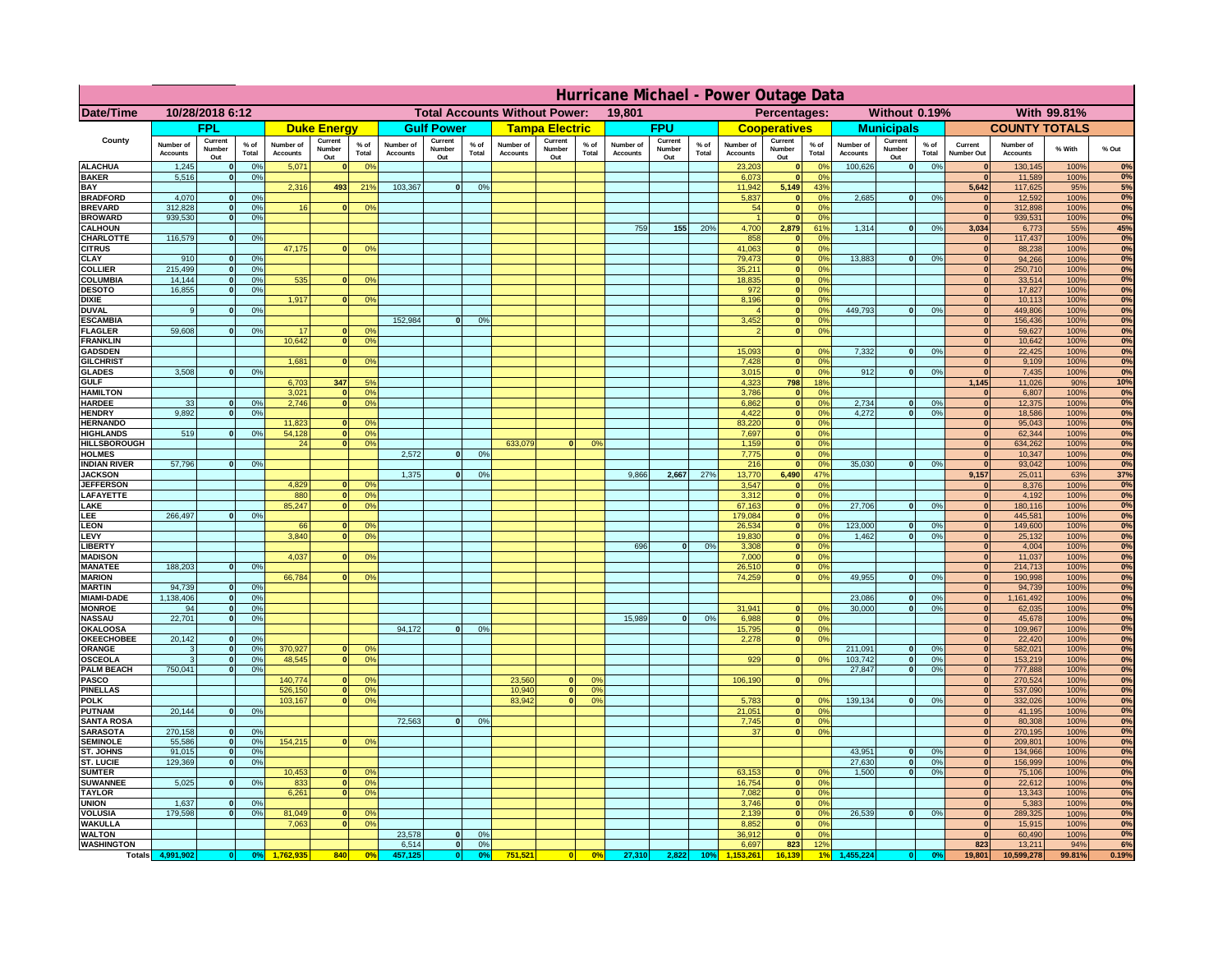|                                      | Hurricane Michael - Power Outage Data |                              |                      |                              |                                 |                                                |                              |                          |                      |                              |                                              |                                  |                              |                          |               |                              |                          |                                        |                              |                          |                 |                              |                              |               |             |
|--------------------------------------|---------------------------------------|------------------------------|----------------------|------------------------------|---------------------------------|------------------------------------------------|------------------------------|--------------------------|----------------------|------------------------------|----------------------------------------------|----------------------------------|------------------------------|--------------------------|---------------|------------------------------|--------------------------|----------------------------------------|------------------------------|--------------------------|-----------------|------------------------------|------------------------------|---------------|-------------|
| Date/Time                            | 10/28/2018 6:12                       |                              |                      |                              |                                 | <b>Total Accounts Without Power:</b><br>19,801 |                              |                          |                      |                              | With 99.81%<br>Percentages:<br>Without 0.19% |                                  |                              |                          |               |                              |                          |                                        |                              |                          |                 |                              |                              |               |             |
|                                      |                                       | <b>FPL</b>                   |                      |                              | <b>Duke Energy</b>              |                                                |                              | <b>Gulf Power</b>        |                      |                              | <b>Tampa Electric</b>                        |                                  |                              | <b>FPU</b>               |               |                              | <b>Cooperatives</b>      |                                        |                              | <b>Municipals</b>        |                 |                              | <b>COUNTY TOTALS</b>         |               |             |
| County                               | Number of<br><b>Accounts</b>          | Current<br>Number<br>Out     | $%$ of<br>Total      | Number of<br><b>Accounts</b> | Current<br><b>Number</b><br>Out | $%$ of<br>Total                                | Number of<br><b>Accounts</b> | Current<br>Number<br>Out | $%$ of<br>Total      | Number of<br><b>Accounts</b> | Current<br>Number<br>Out                     | $%$ of<br>Total                  | Number of<br><b>Accounts</b> | Current<br>Number<br>Out | % of<br>Total | Number of<br><b>Accounts</b> | Current<br>Number<br>Out | $%$ of<br>Total                        | Number of<br><b>Accounts</b> | Current<br>Number<br>Out | $%$ of<br>Total | Current<br>Number Out        | Number of<br><b>Accounts</b> | % With        | % Out       |
| <b>ALACHUA</b><br><b>BAKER</b>       | 1,245                                 | $\mathbf{0}$<br>$\mathbf{0}$ | 0%<br>0%             | 5,071                        |                                 | 0 <sup>9</sup>                                 |                              |                          |                      |                              |                                              |                                  |                              |                          |               | 23,203                       | $\bf{0}$<br>$\bf{0}$     | $^{\circ}$<br>0 <sup>9</sup>           | 100,626                      | 0                        | 0%              | $\mathbf{0}$<br>$\mathbf{0}$ | 130,145                      | 100%          | 0%<br>0%    |
| BAY                                  | 5,516                                 |                              |                      | 2,316                        | 493                             | 21%                                            | 103,367                      | 0                        | 0%                   |                              |                                              |                                  |                              |                          |               | 6,073<br>11,942              | 5,149                    | 43%                                    |                              |                          |                 | 5,642                        | 11,589<br>117,625            | 100%<br>95%   | 5%          |
| <b>BRADFORD</b><br><b>BREVARD</b>    | 4,070<br>312.828                      | $\Omega$<br>$\mathbf{0}$     | 0%<br>0%             | 16                           |                                 | 0 <sup>o</sup>                                 |                              |                          |                      |                              |                                              |                                  |                              |                          |               | 5,837<br>54                  | $\mathbf{0}$<br> 0       | 0 <sup>9</sup><br>0 <sup>9</sup>       | 2,685                        | 0                        | 0%              | $\Omega$<br> 0               | 12,592<br>312,898            | 100%<br>100%  | 0%<br>0%    |
| <b>BROWARD</b>                       | 939.530                               | $\mathbf{0}$                 | 0%                   |                              |                                 |                                                |                              |                          |                      |                              |                                              |                                  |                              |                          |               |                              | 0                        | 0%                                     |                              |                          |                 | 0                            | 939,531                      | 100%          | 0%          |
| <b>CALHOUN</b>                       |                                       |                              |                      |                              |                                 |                                                |                              |                          |                      |                              |                                              |                                  | 759                          | 155                      | 20%           | 4,700                        | 2,879                    | 61%                                    | 1,314                        | 0                        | 0%              | 3,034                        | 6,773                        | 55%           | 45%         |
| CHARLOTTE<br><b>CITRUS</b>           | 116,579                               | $\mathbf{0}$                 | 0%                   | 47,175                       |                                 | 0 <sup>o</sup>                                 |                              |                          |                      |                              |                                              |                                  |                              |                          |               | 858<br>41.063                | $\mathbf{0}$<br> 0       | 0%<br>0 <sup>9</sup>                   |                              |                          |                 | $\mathbf{0}$<br>$\mathbf{0}$ | 117,437<br>88.238            | 100%<br>100%  | 0%<br>0%    |
| CLAY                                 | 910                                   |                              | 0 <sup>9</sup>       |                              |                                 |                                                |                              |                          |                      |                              |                                              |                                  |                              |                          |               | 79,473                       | 0                        | 0%                                     | 13,883                       | 0                        | 0%              | $\mathbf{0}$                 | 94,266                       | 100%          | 0%          |
| <b>COLLIER</b>                       | 215,499                               |                              | 0%                   |                              |                                 |                                                |                              |                          |                      |                              |                                              |                                  |                              |                          |               | 35,211                       | 0                        | 0 <sup>9</sup>                         |                              |                          |                 | $\mathbf{0}$                 | 250,710                      | 100%          | 0%          |
| COLUMBIA<br><b>DESOTO</b>            | 14,144<br>16,855                      |                              | 0%<br>0%             | 535                          |                                 | 0 <sup>o</sup>                                 |                              |                          |                      |                              |                                              |                                  |                              |                          |               | 18,835<br>972                | 0 <br> 0                 | 0 <sup>9</sup><br>0 <sup>9</sup>       |                              |                          |                 | $\mathbf{0}$                 | 33,514<br>17,827             | 100%<br>100%  | 0%<br>0%    |
| <b>DIXIE</b>                         |                                       |                              |                      | 1,917                        |                                 | 0 <sup>o</sup>                                 |                              |                          |                      |                              |                                              |                                  |                              |                          |               | 8,196                        | 0                        | 0 <sup>9</sup>                         |                              |                          |                 | $\mathbf{0}$                 | 10,113                       | 100%          | 0%          |
| <b>DUVAL</b>                         | 9                                     |                              | 0 <sup>9</sup>       |                              |                                 |                                                |                              |                          |                      |                              |                                              |                                  |                              |                          |               |                              | 0                        | 0 <sup>o</sup>                         | 449,793                      | 0                        | 0%              | $\mathbf{0}$                 | 449,806                      | 100%          | 0%          |
| <b>ESCAMBIA</b><br><b>FLAGLER</b>    | 59,608                                | $\mathbf{0}$                 | 0 <sup>9</sup>       | 17                           |                                 | 0 <sup>9</sup>                                 | 152,984                      | $\Omega$                 | 0 <sup>9</sup>       |                              |                                              |                                  |                              |                          |               | 3,452                        | $\mathbf{0}$<br> 0       | 0 <sup>o</sup><br>0 <sup>9</sup>       |                              |                          |                 | $\mathbf{0}$<br>$\mathbf{0}$ | 156,436<br>59,627            | 100%<br>100%  | 0%<br>0%    |
| <b>FRANKLIN</b>                      |                                       |                              |                      | 10,642                       |                                 | 0 <sup>9</sup>                                 |                              |                          |                      |                              |                                              |                                  |                              |                          |               |                              |                          |                                        |                              |                          |                 | $\mathbf{0}$                 | 10,642                       | 100%          | 0%          |
| <b>GADSDEN</b>                       |                                       |                              |                      |                              |                                 |                                                |                              |                          |                      |                              |                                              |                                  |                              |                          |               | 15,093                       | $\mathbf{0}$             | 0 <sup>9</sup>                         | 7,332                        | 0                        | 0%              | 0                            | 22,425                       | 100%          | 0%          |
| <b>GILCHRIST</b><br><b>GLADES</b>    | 3.508                                 |                              | 0%                   | 1.681                        |                                 | 0 <sup>9</sup>                                 |                              |                          |                      |                              |                                              |                                  |                              |                          |               | 7,428<br>3,015               | 0 <br> 0                 | 0 <sup>9</sup><br>0%                   | 912                          | 0                        | 0%              | 0 <br> 0                     | 9,109<br>7,435               | 100%<br>100%  | 0%<br>0%    |
| <b>GULF</b>                          |                                       |                              |                      | 6,703                        | 347                             | 5%                                             |                              |                          |                      |                              |                                              |                                  |                              |                          |               | 4,323                        | 798                      | 18%                                    |                              |                          |                 | 1,145                        | 11,026                       | 90%           | 10%         |
| <b>HAMILTON</b>                      |                                       |                              |                      | 3,021                        |                                 | 0%                                             |                              |                          |                      |                              |                                              |                                  |                              |                          |               | 3,786                        | 0                        | 0 <sup>9</sup>                         |                              |                          |                 | 0                            | 6,807                        | 100%          | 0%          |
| <b>HARDEE</b><br><b>HENDRY</b>       | 33<br>9.892                           | $\mathbf{0}$<br>$\Omega$     | 0%<br>0 <sup>9</sup> | 2,746                        |                                 | 0 <sup>9</sup>                                 |                              |                          |                      |                              |                                              |                                  |                              |                          |               | 6,862<br>4,422               |                          | 0 <br>0%<br> 0 <br>0%                  | 2,734<br>4.272               | $\mathbf{0}$<br> 0       | 0%<br>0%        | 0 <br> 0                     | 12,375<br>18,586             | 100%<br>100%  | 0%<br>0%    |
| <b>HERNANDO</b>                      |                                       |                              |                      | 11,823                       |                                 | 0 <sup>o</sup>                                 |                              |                          |                      |                              |                                              |                                  |                              |                          |               | 83,220                       |                          | 0 <br>0 <sup>9</sup>                   |                              |                          |                 | 0                            | 95,043                       | 100%          | 0%          |
| <b>HIGHLANDS</b>                     | 519                                   | $\Omega$                     | 0%                   | 54,128                       |                                 | 0%                                             |                              |                          |                      |                              |                                              |                                  |                              |                          |               | 7,697                        |                          | 0 <br>0 <sup>9</sup>                   |                              |                          |                 | 0                            | 62,344                       | 100%          | 0%          |
| <b>HILLSBOROUGH</b><br><b>HOLMES</b> |                                       |                              |                      | 24                           |                                 | 0 <sup>o</sup>                                 | 2,572                        | $\Omega$                 | 0 <sup>9</sup>       | 633,079                      | $\Omega$                                     | 0 <sup>9</sup>                   |                              |                          |               | 1,159<br>7,775               | 0                        | 0 <br>0 <sup>9</sup><br>0 <sup>9</sup> |                              |                          |                 | 0 <br>$\mathbf{0}$           | 634,262<br>10,347            | 100%<br>100%  | 0%<br>0%    |
| <b>INDIAN RIVER</b>                  | 57,796                                |                              | 0%                   |                              |                                 |                                                |                              |                          |                      |                              |                                              |                                  |                              |                          |               | 216                          | 0                        | 0 <sup>9</sup>                         | 35.030                       | $\mathbf{0}$             | 0%              | $\mathbf{0}$                 | 93,042                       | 100%          | 0%          |
| <b>JACKSON</b>                       |                                       |                              |                      | 4.829                        |                                 |                                                | 1,375                        | $\Omega$                 | 0 <sup>9</sup>       |                              |                                              |                                  | 9,866                        | 2,667                    | 27%           | 13,770                       | 6,490<br>$\mathbf{0}$    | 47%                                    |                              |                          |                 | 9,157                        | 25,011                       | 63%           | 37%         |
| <b>JEFFERSON</b><br>LAFAYETTE        |                                       |                              |                      | 880                          | n.                              | 0 <sup>9</sup><br>0 <sup>9</sup>               |                              |                          |                      |                              |                                              |                                  |                              |                          |               | 3.547<br>3.312               |                          | 0%<br>$\mathbf{0}$<br>0%               |                              |                          |                 | $\mathbf{0}$<br> 0           | 8,376<br>4,192               | 100%<br>100%  | 0%<br>0%    |
| LAKE                                 |                                       |                              |                      | 85,247                       |                                 | 0%                                             |                              |                          |                      |                              |                                              |                                  |                              |                          |               | 67,163                       |                          | 0 <br>0%                               | 27,706                       | $\mathbf{0}$             | 0%              | 0                            | 180,116                      | 100%          | 0%          |
| LEE                                  | 266,497                               |                              | 0%                   |                              |                                 |                                                |                              |                          |                      |                              |                                              |                                  |                              |                          |               | 179,084                      |                          | 0%<br> 0                               | 123,000                      | $\mathbf{0}$             |                 | 0                            | 445,581                      | 100%          | 0%<br>0%    |
| <b>LEON</b><br>LEVY                  |                                       |                              |                      | 66<br>3,840                  |                                 | 0 <sup>9</sup><br>0 <sup>9</sup>               |                              |                          |                      |                              |                                              |                                  |                              |                          |               | 26,534<br>19,830             |                          | 0 <br>0%<br>0%<br> 0                   | 1,462                        | $\mathbf{0}$             | 0%<br>0%        | 0 <br> 0                     | 149,600<br>25,132            | 100%<br>100%  | 0%          |
| <b>LIBERT</b>                        |                                       |                              |                      |                              |                                 |                                                |                              |                          |                      |                              |                                              |                                  | 696                          | $\Omega$                 | 0%            | 3,308                        |                          | 0%<br> 0                               |                              |                          |                 | 0                            | 4,004                        | 100%          | 0%          |
| <b>MADISON</b><br><b>MANATEE</b>     | 188,203                               | $\mathbf{0}$                 | 0 <sup>9</sup>       | 4,037                        |                                 | 0 <sup>o</sup>                                 |                              |                          |                      |                              |                                              |                                  |                              |                          |               | 7,000<br>26,510              |                          | 0%<br> 0 <br>0%<br> 0                  |                              |                          |                 | 0 <br> 0                     | 11,037<br>214,713            | 100%<br>100%  | 0%<br>0%    |
| <b>MARION</b>                        |                                       |                              |                      | 66,784                       |                                 | 0 <sup>9</sup>                                 |                              |                          |                      |                              |                                              |                                  |                              |                          |               | 74,259                       |                          | 0 <br>0%                               | 49,955                       | 0                        | 0%              | $\mathbf{0}$                 | 190,998                      | 100%          | 0%          |
| <b>MARTIN</b>                        | 94,739                                | $\mathbf{0}$                 | 0%                   |                              |                                 |                                                |                              |                          |                      |                              |                                              |                                  |                              |                          |               |                              |                          |                                        |                              |                          |                 | 0                            | 94,739                       | 100%          | 0%          |
| <b>MIAMI-DADE</b><br><b>MONROE</b>   | 1,138,406<br>94                       | 0 <br>-ol                    | 0%<br>0%             |                              |                                 |                                                |                              |                          |                      |                              |                                              |                                  |                              |                          |               | 31,941                       | $\mathbf{0}$             | 0 <sup>9</sup>                         | 23,086<br>30,000             | 0 <br> 0                 | 0%<br>0%        | 0 <br>$\mathbf{0}$           | 1,161,492<br>62,035          | 100%<br>100%  | 0%<br>0%    |
| <b>NASSAU</b>                        | 22,701                                | 0                            | 0%                   |                              |                                 |                                                |                              |                          |                      |                              |                                              |                                  | 15,989                       | 0                        | 0%            | 6,988                        |                          | 0 <br>0%                               |                              |                          |                 | 0                            | 45,678                       | 100%          | 0%          |
| <b>OKALOOSA</b>                      |                                       |                              |                      |                              |                                 |                                                | 94,172                       | 0                        | 0%                   |                              |                                              |                                  |                              |                          |               | 15,795                       |                          | 0%<br> 0                               |                              |                          |                 | 0                            | 109,967                      | 100%          | 0%          |
| <b>OKEECHOBEE</b><br>ORANGE          | 20,142<br>3                           | 0<br> 0                      | 0%<br>0%             | 370,927                      |                                 | 0 <sup>9</sup>                                 |                              |                          |                      |                              |                                              |                                  |                              |                          |               | 2,278                        |                          | 0%<br> 0                               | 211,091                      | 0                        | 0%              | 0 <br> 0                     | 22,420<br>582,021            | 100%<br>100%  | 0%<br>0%    |
| <b>OSCEOLA</b>                       | 3                                     | 0                            | 0%                   | 48,545                       | $\mathbf{0}$                    | 0%                                             |                              |                          |                      |                              |                                              |                                  |                              |                          |               | 929                          |                          | 0 <br>0%                               | 103,742                      | 0                        | 0%              | 0                            | 153,219                      | 100%          | 0%          |
| <b>PALM BEACH</b>                    | 750,041                               | 0                            | 0%                   |                              |                                 |                                                |                              |                          |                      |                              |                                              |                                  |                              |                          |               |                              |                          |                                        | 27,847                       | 0                        | 0%              | 0                            | 777,888                      | 100%          | 0%          |
| <b>PASCO</b><br><b>PINELLAS</b>      |                                       |                              |                      | 140,774<br>526,150           | $\mathbf{0}$                    | 0 <sup>9</sup><br>0%                           |                              |                          |                      | 23,560<br>10,940             | $\mathbf{0}$<br> 0                           | O <sup>o</sup><br>0 <sup>9</sup> |                              |                          |               | 106,190                      |                          | 0%<br> 0                               |                              |                          |                 | 0 <br> 0                     | 270,524<br>537,090           | 100%<br>100%  | 0%<br>0%    |
| <b>POLK</b>                          |                                       |                              |                      | 103,167                      | $\Omega$                        | 0 <sup>9</sup>                                 |                              |                          |                      | 83,942                       | 0                                            | 0 <sup>o</sup>                   |                              |                          |               | 5,783                        |                          | 0 <br>$^{\circ}$                       | 139,134                      | 0                        | 0%              | 0                            | 332,026                      | 100%          | 0%          |
| <b>PUTNAM</b>                        | 20,144                                | 0                            | 0%                   |                              |                                 |                                                |                              |                          |                      |                              |                                              |                                  |                              |                          |               | 21,051                       |                          | 0 <sup>9</sup><br> 0                   |                              |                          |                 | 0                            | 41,195                       | 100%          | 0%          |
| <b>SANTA ROSA</b><br><b>SARASOTA</b> | 270,158                               | 0                            | 0 <sup>9</sup>       |                              |                                 |                                                | 72,563                       | 0                        | 0%                   |                              |                                              |                                  |                              |                          |               | 7,745<br>37                  |                          | 0 <sup>9</sup><br> 0 <br>0%<br> 0      |                              |                          |                 | $\Omega$<br>$\mathbf{0}$     | 80,308<br>270,195            | 100%<br>100%  | 0%<br>0%    |
| <b>SEMINOLE</b>                      | 55,586                                | 0                            | 0 <sup>9</sup>       | 154,215                      | $\mathbf{0}$                    | 0 <sup>9</sup>                                 |                              |                          |                      |                              |                                              |                                  |                              |                          |               |                              |                          |                                        |                              |                          |                 | 0                            | 209,801                      | 100%          | 0%          |
| ST. JOHNS                            | 91,015                                | 0                            | 0%                   |                              |                                 |                                                |                              |                          |                      |                              |                                              |                                  |                              |                          |               |                              |                          |                                        | 43,951                       | 0                        | 0%              | $\mathbf{0}$                 | 134,966                      | 100%          | 0%          |
| ST. LUCIE<br><b>SUMTER</b>           | 129,369                               | $\mathbf{0}$                 | 0%                   | 10,453                       |                                 | 0 <sup>9</sup>                                 |                              |                          |                      |                              |                                              |                                  |                              |                          |               | 63,153                       |                          | 0 <sup>9</sup><br>$\mathbf{0}$         | 27,630<br>1.500              | 0 <br> 0                 | 0%<br>0%        | $\mathbf{0}$<br> 0           | 156,999<br>75,106            | 100%<br>100%  | 0%<br>0%    |
| <b>SUWANNEE</b>                      | 5,025                                 | $\Omega$                     | 0%                   | 833                          | $\mathbf{0}$                    | 0 <sup>9</sup>                                 |                              |                          |                      |                              |                                              |                                  |                              |                          |               | 16,754                       |                          | 0 <br>0%                               |                              |                          |                 | $\mathbf{0}$                 | 22,612                       | 100%          | 0%          |
| <b>TAYLOR</b>                        |                                       |                              |                      | 6,261                        |                                 | 0%                                             |                              |                          |                      |                              |                                              |                                  |                              |                          |               | 7,082                        | 0                        | 0%                                     |                              |                          |                 | 0                            | 13,343                       | 100%          | 0%          |
| <b>UNION</b><br><b>VOLUSIA</b>       | 1.637<br>179.598                      | $\mathbf{0}$<br>$\mathbf{0}$ | 0%<br>0%             | 81,049                       |                                 | 0 <sup>9</sup>                                 |                              |                          |                      |                              |                                              |                                  |                              |                          |               | 3.746<br>2.139               |                          | 0%<br> 0 <br> 0 <br>0%                 | 26.539                       | 0                        | 0%              | $\mathbf{0}$<br>$\mathbf{0}$ | 5,383<br>289,325             | 100%<br>100%  | $0\%$<br>0% |
| <b>WAKULLA</b>                       |                                       |                              |                      | 7,063                        |                                 | 0 <sup>o</sup>                                 |                              |                          |                      |                              |                                              |                                  |                              |                          |               | 8,852                        | 0                        | 0%                                     |                              |                          |                 | $\mathbf{0}$                 | 15,915                       | 100%          | 0%          |
| <b>WALTON</b>                        |                                       |                              |                      |                              |                                 |                                                | 23,578                       | 0                        | 0 <sup>9</sup>       |                              |                                              |                                  |                              |                          |               | 36,912                       | 0                        | 0%                                     |                              |                          |                 | 0                            | 60,490                       | 100%          | 0%          |
| <b>WASHINGTON</b><br><b>Totals</b>   | 4,991,902                             | 0                            | 0 <sup>o</sup>       |                              | 840                             | 0 <sup>5</sup>                                 | 6,514<br>457,125             | 0 <br> 0                 | 0%<br>0 <sup>9</sup> | 751,521                      | 0                                            | 0%                               | 27,310                       | 2,822                    | 10%           | 6,697                        | 823<br>16.139            | 12%                                    | 455,224                      |                          | 0 <sup>o</sup>  | 823<br>19,801                | 13,211<br>10,599,278         | 94%<br>99.81% | 6%<br>0.19% |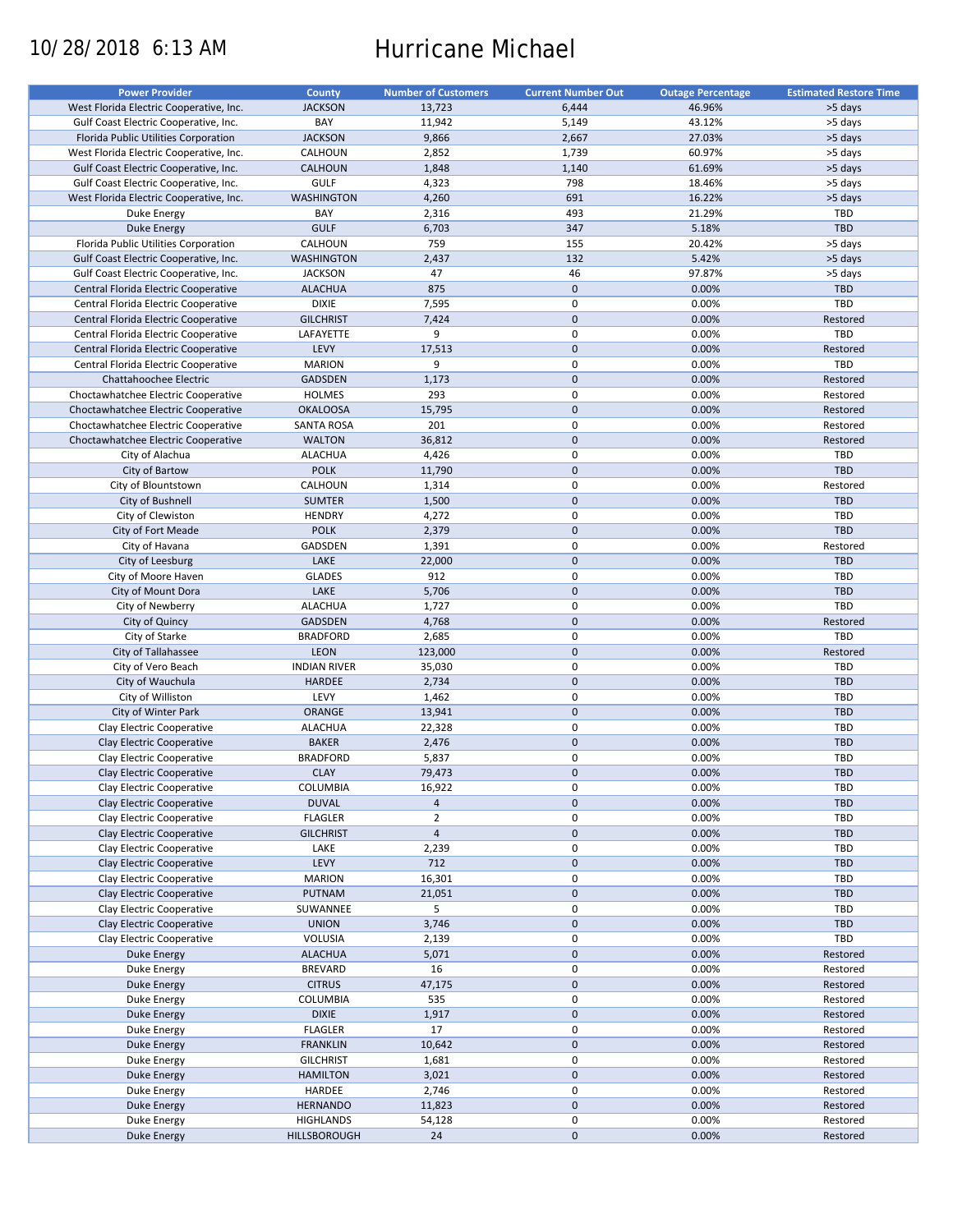# 10/28/2018 6:13 AM Hurricane Michael

| <b>Power Provider</b>                   | County              | <b>Number of Customers</b> | <b>Current Number Out</b> | <b>Outage Percentage</b> | <b>Estimated Restore Time</b> |
|-----------------------------------------|---------------------|----------------------------|---------------------------|--------------------------|-------------------------------|
| West Florida Electric Cooperative, Inc. | <b>JACKSON</b>      | 13,723                     | 6,444                     | 46.96%                   | >5 days                       |
| Gulf Coast Electric Cooperative, Inc.   | BAY                 | 11,942                     | 5,149                     | 43.12%                   | >5 days                       |
| Florida Public Utilities Corporation    | <b>JACKSON</b>      | 9,866                      | 2,667                     | 27.03%                   | >5 days                       |
|                                         |                     |                            |                           |                          |                               |
| West Florida Electric Cooperative, Inc. | CALHOUN             | 2,852                      | 1,739                     | 60.97%                   | >5 days                       |
| Gulf Coast Electric Cooperative, Inc.   | <b>CALHOUN</b>      | 1,848                      | 1,140                     | 61.69%                   | >5 days                       |
| Gulf Coast Electric Cooperative, Inc.   | <b>GULF</b>         | 4,323                      | 798                       | 18.46%                   | >5 days                       |
| West Florida Electric Cooperative, Inc. | <b>WASHINGTON</b>   | 4,260                      | 691                       | 16.22%                   | >5 days                       |
| Duke Energy                             | BAY                 | 2,316                      | 493                       | 21.29%                   | <b>TBD</b>                    |
| Duke Energy                             | <b>GULF</b>         | 6,703                      | 347                       | 5.18%                    | <b>TBD</b>                    |
| Florida Public Utilities Corporation    | CALHOUN             | 759                        | 155                       | 20.42%                   | >5 days                       |
| Gulf Coast Electric Cooperative, Inc.   | <b>WASHINGTON</b>   | 2,437                      | 132                       | 5.42%                    | >5 days                       |
| Gulf Coast Electric Cooperative, Inc.   | <b>JACKSON</b>      | 47                         | 46                        | 97.87%                   | >5 days                       |
| Central Florida Electric Cooperative    | <b>ALACHUA</b>      | 875                        | $\mathbf 0$               | 0.00%                    | <b>TBD</b>                    |
|                                         |                     |                            | $\mathbf 0$               |                          |                               |
| Central Florida Electric Cooperative    | <b>DIXIE</b>        | 7,595                      |                           | 0.00%                    | TBD                           |
| Central Florida Electric Cooperative    | <b>GILCHRIST</b>    | 7,424                      | $\mathbf{0}$              | 0.00%                    | Restored                      |
| Central Florida Electric Cooperative    | LAFAYETTE           | 9                          | $\mathsf 0$               | 0.00%                    | TBD                           |
| Central Florida Electric Cooperative    | LEVY                | 17,513                     | $\mathbf{0}$              | 0.00%                    | Restored                      |
| Central Florida Electric Cooperative    | <b>MARION</b>       | 9                          | $\mathbf 0$               | 0.00%                    | TBD                           |
| Chattahoochee Electric                  | <b>GADSDEN</b>      | 1,173                      | $\mathbf 0$               | 0.00%                    | Restored                      |
| Choctawhatchee Electric Cooperative     | <b>HOLMES</b>       | 293                        | $\mathbf 0$               | 0.00%                    | Restored                      |
| Choctawhatchee Electric Cooperative     | <b>OKALOOSA</b>     | 15,795                     | $\mathbf 0$               | 0.00%                    | Restored                      |
| Choctawhatchee Electric Cooperative     | <b>SANTA ROSA</b>   | 201                        | $\mathbf 0$               | 0.00%                    | Restored                      |
| Choctawhatchee Electric Cooperative     | <b>WALTON</b>       | 36,812                     | $\mathbf 0$               | 0.00%                    | Restored                      |
|                                         |                     |                            |                           |                          |                               |
| City of Alachua                         | <b>ALACHUA</b>      | 4,426                      | $\mathsf 0$               | 0.00%                    | <b>TBD</b>                    |
| City of Bartow                          | <b>POLK</b>         | 11,790                     | $\mathbf 0$               | 0.00%                    | TBD                           |
| City of Blountstown                     | CALHOUN             | 1,314                      | $\mathbf 0$               | 0.00%                    | Restored                      |
| City of Bushnell                        | <b>SUMTER</b>       | 1,500                      | $\mathbf 0$               | 0.00%                    | TBD                           |
| City of Clewiston                       | <b>HENDRY</b>       | 4,272                      | $\mathbf 0$               | 0.00%                    | <b>TBD</b>                    |
| City of Fort Meade                      | <b>POLK</b>         | 2,379                      | $\mathbf 0$               | 0.00%                    | TBD                           |
| City of Havana                          | GADSDEN             | 1,391                      | $\mathbf 0$               | 0.00%                    | Restored                      |
| City of Leesburg                        | LAKE                | 22,000                     | $\mathbf 0$               | 0.00%                    | <b>TBD</b>                    |
| City of Moore Haven                     | <b>GLADES</b>       | 912                        | $\mathsf 0$               | 0.00%                    | <b>TBD</b>                    |
|                                         |                     |                            |                           |                          |                               |
| City of Mount Dora                      | LAKE                | 5,706                      | $\mathbf 0$               | 0.00%                    | TBD                           |
| City of Newberry                        | <b>ALACHUA</b>      | 1,727                      | $\mathsf 0$               | 0.00%                    | TBD                           |
| City of Quincy                          | GADSDEN             | 4,768                      | $\mathbf 0$               | 0.00%                    | Restored                      |
| City of Starke                          | <b>BRADFORD</b>     | 2,685                      | 0                         | 0.00%                    | TBD                           |
| City of Tallahassee                     | LEON                | 123,000                    | $\mathbf 0$               | 0.00%                    | Restored                      |
| City of Vero Beach                      | <b>INDIAN RIVER</b> | 35,030                     | $\mathbf 0$               | 0.00%                    | TBD                           |
| City of Wauchula                        | <b>HARDEE</b>       | 2,734                      | $\mathbf 0$               | 0.00%                    | <b>TBD</b>                    |
| City of Williston                       | LEVY                | 1,462                      | $\mathsf 0$               | 0.00%                    | <b>TBD</b>                    |
| City of Winter Park                     | <b>ORANGE</b>       | 13,941                     | $\mathbf 0$               | 0.00%                    | <b>TBD</b>                    |
| Clay Electric Cooperative               | <b>ALACHUA</b>      | 22,328                     | $\mathbf 0$               | 0.00%                    | <b>TBD</b>                    |
|                                         |                     |                            |                           |                          |                               |
| Clay Electric Cooperative               | <b>BAKER</b>        | 2,476                      | $\mathbf 0$               | 0.00%                    | TBD                           |
| Clay Electric Cooperative               | <b>BRADFORD</b>     | 5,837                      | 0                         | 0.00%                    | <b>TBD</b>                    |
| Clav Electric Cooperative               | <b>CLAY</b>         | 79,473                     | $\mathbf{0}$              | 0.00%                    | <b>TBD</b>                    |
| Clay Electric Cooperative               | COLUMBIA            | 16,922                     | $\pmb{0}$                 | 0.00%                    | <b>TBD</b>                    |
| Clay Electric Cooperative               | <b>DUVAL</b>        | $\overline{a}$             | $\pmb{0}$                 | 0.00%                    | TBD                           |
| Clay Electric Cooperative               | <b>FLAGLER</b>      | $\overline{2}$             | $\pmb{0}$                 | 0.00%                    | <b>TBD</b>                    |
| Clay Electric Cooperative               | <b>GILCHRIST</b>    | $\overline{4}$             | $\pmb{0}$                 | 0.00%                    | <b>TBD</b>                    |
| Clay Electric Cooperative               | LAKE                | 2,239                      | $\pmb{0}$                 | 0.00%                    | TBD                           |
| Clay Electric Cooperative               | LEVY                | 712                        | $\pmb{0}$                 | 0.00%                    | <b>TBD</b>                    |
|                                         | <b>MARION</b>       |                            | $\pmb{0}$                 |                          |                               |
| Clay Electric Cooperative               |                     | 16,301                     |                           | 0.00%                    | <b>TBD</b>                    |
| Clay Electric Cooperative               | PUTNAM              | 21,051                     | $\pmb{0}$                 | 0.00%                    | <b>TBD</b>                    |
| Clay Electric Cooperative               | SUWANNEE            | 5                          | $\pmb{0}$                 | 0.00%                    | TBD                           |
| Clay Electric Cooperative               | <b>UNION</b>        | 3,746                      | 0                         | 0.00%                    | TBD                           |
| Clay Electric Cooperative               | VOLUSIA             | 2,139                      | $\pmb{0}$                 | 0.00%                    | TBD                           |
| <b>Duke Energy</b>                      | <b>ALACHUA</b>      | 5,071                      | $\pmb{0}$                 | 0.00%                    | Restored                      |
| Duke Energy                             | <b>BREVARD</b>      | 16                         | $\pmb{0}$                 | 0.00%                    | Restored                      |
| Duke Energy                             | <b>CITRUS</b>       | 47,175                     | $\pmb{0}$                 | 0.00%                    | Restored                      |
| Duke Energy                             | COLUMBIA            | 535                        | 0                         | 0.00%                    | Restored                      |
|                                         |                     |                            |                           |                          |                               |
| Duke Energy                             | <b>DIXIE</b>        | 1,917                      | $\pmb{0}$                 | 0.00%                    | Restored                      |
| Duke Energy                             | <b>FLAGLER</b>      | 17                         | $\pmb{0}$                 | 0.00%                    | Restored                      |
| <b>Duke Energy</b>                      | <b>FRANKLIN</b>     | 10,642                     | $\pmb{0}$                 | 0.00%                    | Restored                      |
| Duke Energy                             | <b>GILCHRIST</b>    | 1,681                      | 0                         | 0.00%                    | Restored                      |
| <b>Duke Energy</b>                      | <b>HAMILTON</b>     | 3,021                      | $\pmb{0}$                 | 0.00%                    | Restored                      |
| Duke Energy                             | HARDEE              | 2,746                      | $\pmb{0}$                 | 0.00%                    | Restored                      |
| <b>Duke Energy</b>                      | <b>HERNANDO</b>     | 11,823                     | 0                         | 0.00%                    | Restored                      |
| Duke Energy                             | <b>HIGHLANDS</b>    | 54,128                     | 0                         | 0.00%                    | Restored                      |
| <b>Duke Energy</b>                      | HILLSBOROUGH        | 24                         | $\pmb{0}$                 | 0.00%                    | Restored                      |
|                                         |                     |                            |                           |                          |                               |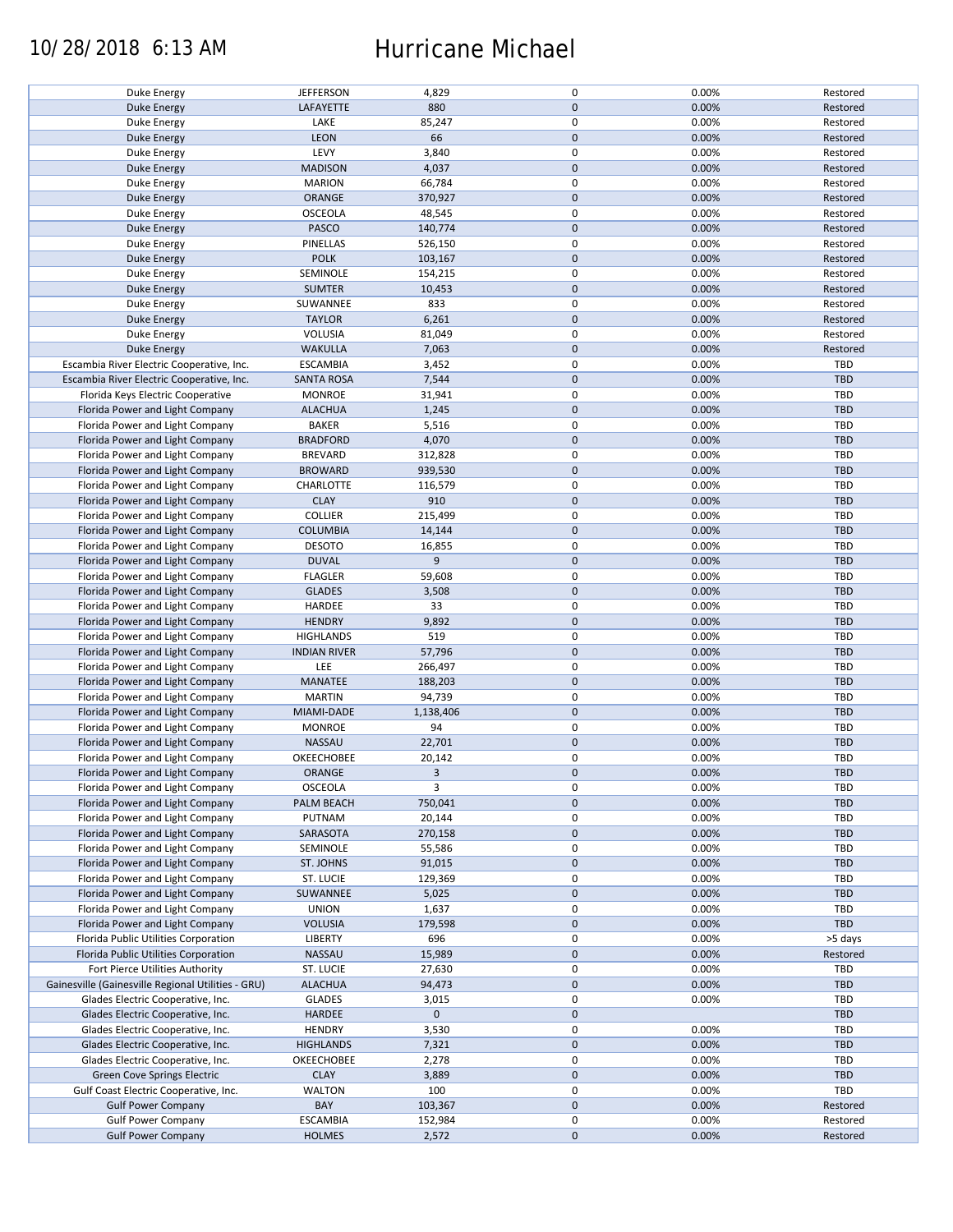### 10/28/2018 6:13 AM Hurricane Michael

|                                                    | <b>JEFFERSON</b>    | 4,829       | 0            | 0.00% | Restored   |
|----------------------------------------------------|---------------------|-------------|--------------|-------|------------|
| Duke Energy                                        |                     |             |              |       |            |
| <b>Duke Energy</b>                                 | LAFAYETTE           | 880         | $\mathbf{0}$ | 0.00% | Restored   |
| Duke Energy                                        | LAKE                | 85,247      | $\mathsf 0$  | 0.00% | Restored   |
| <b>Duke Energy</b>                                 | <b>LEON</b>         | 66          | $\mathbf{0}$ | 0.00% | Restored   |
| <b>Duke Energy</b>                                 | LEVY                | 3,840       | $\mathsf 0$  | 0.00% | Restored   |
|                                                    |                     |             |              |       |            |
| Duke Energy                                        | <b>MADISON</b>      | 4,037       | $\mathbf 0$  | 0.00% | Restored   |
| Duke Energy                                        | <b>MARION</b>       | 66,784      | $\mathsf 0$  | 0.00% | Restored   |
| <b>Duke Energy</b>                                 | <b>ORANGE</b>       | 370,927     | $\mathbf 0$  | 0.00% | Restored   |
| <b>Duke Energy</b>                                 | <b>OSCEOLA</b>      | 48,545      | $\mathsf 0$  | 0.00% | Restored   |
| <b>Duke Energy</b>                                 | PASCO               | 140,774     | $\mathbf 0$  | 0.00% | Restored   |
|                                                    |                     |             |              |       |            |
| Duke Energy                                        | PINELLAS            | 526,150     | $\mathsf 0$  | 0.00% | Restored   |
| <b>Duke Energy</b>                                 | <b>POLK</b>         | 103,167     | $\mathbf 0$  | 0.00% | Restored   |
| Duke Energy                                        | SEMINOLE            | 154,215     | $\pmb{0}$    | 0.00% | Restored   |
| <b>Duke Energy</b>                                 | <b>SUMTER</b>       | 10,453      | $\mathbf 0$  | 0.00% | Restored   |
| Duke Energy                                        | SUWANNEE            | 833         | $\mathsf 0$  | 0.00% | Restored   |
|                                                    |                     |             |              |       |            |
| <b>Duke Energy</b>                                 | <b>TAYLOR</b>       | 6,261       | $\mathbf 0$  | 0.00% | Restored   |
| Duke Energy                                        | VOLUSIA             | 81,049      | $\mathsf 0$  | 0.00% | Restored   |
| <b>Duke Energy</b>                                 | <b>WAKULLA</b>      | 7,063       | $\mathbf 0$  | 0.00% | Restored   |
| Escambia River Electric Cooperative, Inc.          | <b>ESCAMBIA</b>     | 3,452       | $\mathsf 0$  | 0.00% | TBD        |
|                                                    |                     |             | $\mathbf 0$  |       |            |
| Escambia River Electric Cooperative, Inc.          | <b>SANTA ROSA</b>   | 7,544       |              | 0.00% | <b>TBD</b> |
| Florida Keys Electric Cooperative                  | <b>MONROE</b>       | 31,941      | $\mathsf 0$  | 0.00% | TBD        |
| Florida Power and Light Company                    | <b>ALACHUA</b>      | 1,245       | $\mathbf 0$  | 0.00% | <b>TBD</b> |
| Florida Power and Light Company                    | <b>BAKER</b>        | 5,516       | $\mathsf 0$  | 0.00% | TBD        |
| Florida Power and Light Company                    | <b>BRADFORD</b>     | 4,070       | $\mathbf 0$  | 0.00% | <b>TBD</b> |
|                                                    |                     |             |              |       |            |
| Florida Power and Light Company                    | <b>BREVARD</b>      | 312,828     | $\mathsf 0$  | 0.00% | TBD        |
| Florida Power and Light Company                    | <b>BROWARD</b>      | 939,530     | $\mathbf 0$  | 0.00% | TBD        |
| Florida Power and Light Company                    | CHARLOTTE           | 116,579     | $\mathsf 0$  | 0.00% | <b>TBD</b> |
| Florida Power and Light Company                    | <b>CLAY</b>         | 910         | $\mathbf 0$  | 0.00% | <b>TBD</b> |
| Florida Power and Light Company                    | COLLIER             |             | $\mathsf 0$  | 0.00% | TBD        |
|                                                    |                     | 215,499     |              |       |            |
| Florida Power and Light Company                    | <b>COLUMBIA</b>     | 14,144      | $\pmb{0}$    | 0.00% | TBD        |
| Florida Power and Light Company                    | <b>DESOTO</b>       | 16,855      | $\pmb{0}$    | 0.00% | TBD        |
| Florida Power and Light Company                    | <b>DUVAL</b>        | 9           | $\mathbf 0$  | 0.00% | <b>TBD</b> |
| Florida Power and Light Company                    | <b>FLAGLER</b>      | 59,608      | $\mathsf 0$  | 0.00% | TBD        |
|                                                    |                     |             |              |       |            |
| Florida Power and Light Company                    | <b>GLADES</b>       | 3,508       | $\mathbf 0$  | 0.00% | <b>TBD</b> |
| Florida Power and Light Company                    | HARDEE              | 33          | $\mathsf 0$  | 0.00% | TBD        |
| Florida Power and Light Company                    | <b>HENDRY</b>       | 9,892       | $\mathbf 0$  | 0.00% | TBD        |
| Florida Power and Light Company                    | <b>HIGHLANDS</b>    | 519         | $\mathsf 0$  | 0.00% | TBD        |
| Florida Power and Light Company                    | <b>INDIAN RIVER</b> | 57,796      | $\pmb{0}$    | 0.00% | TBD        |
|                                                    |                     |             |              |       |            |
| Florida Power and Light Company                    | LEE                 | 266,497     | $\mathsf 0$  | 0.00% | TBD        |
| Florida Power and Light Company                    | MANATEE             | 188,203     | $\mathbf 0$  | 0.00% | TBD        |
| Florida Power and Light Company                    | <b>MARTIN</b>       | 94,739      | $\mathsf 0$  | 0.00% | TBD        |
| Florida Power and Light Company                    | MIAMI-DADE          | 1,138,406   | $\mathbf 0$  | 0.00% | <b>TBD</b> |
| Florida Power and Light Company                    | <b>MONROE</b>       | 94          | $\mathsf 0$  | 0.00% | <b>TBD</b> |
|                                                    |                     |             |              |       |            |
| Florida Power and Light Company                    | NASSAU              | 22,701      | $\mathbf 0$  | 0.00% | TBD        |
| Florida Power and Light Company                    | OKEECHOBEE          | 20,142      | $\mathsf 0$  | 0.00% | <b>TBD</b> |
| Florida Power and Light Company                    | <b>ORANGE</b>       | 3           | $\mathbf{0}$ | 0.00% | TBD        |
| Florida Power and Light Company                    | <b>OSCEOLA</b>      | 3           | 0            | 0.00% | TBD        |
|                                                    | PALM BEACH          |             | $\mathbf 0$  |       |            |
| Florida Power and Light Company                    |                     | 750,041     |              | 0.00% | TBD        |
| Florida Power and Light Company                    | PUTNAM              | 20,144      | 0            | 0.00% | TBD        |
| Florida Power and Light Company                    | SARASOTA            | 270,158     | $\mathbf 0$  | 0.00% | <b>TBD</b> |
| Florida Power and Light Company                    | SEMINOLE            | 55,586      | 0            | 0.00% | <b>TBD</b> |
| Florida Power and Light Company                    | ST. JOHNS           | 91,015      | $\mathbf 0$  | 0.00% | TBD        |
| Florida Power and Light Company                    |                     |             |              |       |            |
|                                                    | ST. LUCIE           | 129,369     | 0            | 0.00% | TBD        |
| Florida Power and Light Company                    | SUWANNEE            | 5,025       | $\mathbf 0$  | 0.00% | TBD        |
| Florida Power and Light Company                    | <b>UNION</b>        | 1,637       | $\mathsf 0$  | 0.00% | TBD        |
| Florida Power and Light Company                    | <b>VOLUSIA</b>      | 179,598     | $\mathbf 0$  | 0.00% | TBD        |
| Florida Public Utilities Corporation               | <b>LIBERTY</b>      | 696         | 0            | 0.00% | >5 days    |
|                                                    |                     |             |              |       |            |
| Florida Public Utilities Corporation               | NASSAU              | 15,989      | $\mathbf 0$  | 0.00% | Restored   |
| Fort Pierce Utilities Authority                    | ST. LUCIE           | 27,630      | 0            | 0.00% | TBD        |
| Gainesville (Gainesville Regional Utilities - GRU) | <b>ALACHUA</b>      | 94,473      | $\mathbf 0$  | 0.00% | TBD        |
| Glades Electric Cooperative, Inc.                  | <b>GLADES</b>       | 3,015       | 0            | 0.00% | TBD        |
| Glades Electric Cooperative, Inc.                  | HARDEE              | $\mathbf 0$ | $\mathbf 0$  |       | TBD        |
|                                                    |                     |             |              |       |            |
| Glades Electric Cooperative, Inc.                  | <b>HENDRY</b>       | 3,530       | $\mathsf 0$  | 0.00% | TBD        |
| Glades Electric Cooperative, Inc.                  | <b>HIGHLANDS</b>    | 7,321       | $\mathbf 0$  | 0.00% | TBD        |
| Glades Electric Cooperative, Inc.                  | OKEECHOBEE          | 2,278       | 0            | 0.00% | TBD        |
| Green Cove Springs Electric                        | <b>CLAY</b>         | 3,889       | $\mathbf 0$  | 0.00% | TBD        |
|                                                    |                     |             |              |       |            |
| Gulf Coast Electric Cooperative, Inc.              | <b>WALTON</b>       | 100         | 0            | 0.00% | TBD        |
| <b>Gulf Power Company</b>                          | BAY                 | 103,367     | $\mathbf 0$  | 0.00% | Restored   |
| <b>Gulf Power Company</b>                          | <b>ESCAMBIA</b>     | 152,984     | 0            | 0.00% | Restored   |
| <b>Gulf Power Company</b>                          | <b>HOLMES</b>       | 2,572       | $\mathbf 0$  | 0.00% | Restored   |
|                                                    |                     |             |              |       |            |